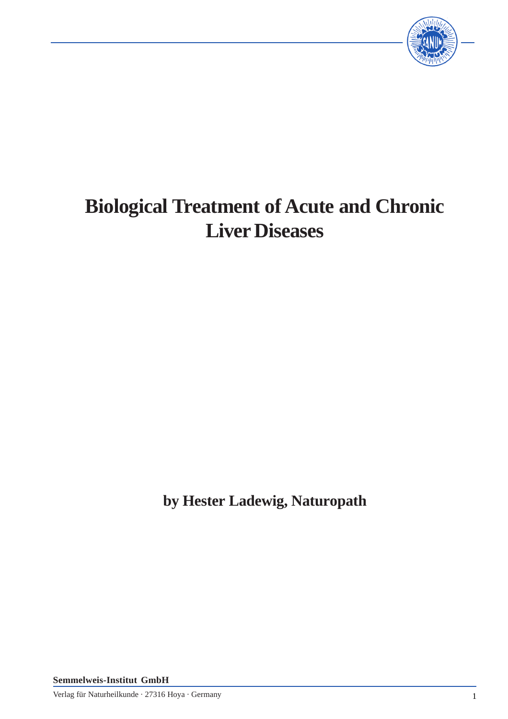

# **Biological Treatment of Acute and Chronic Liver Diseases**

**by Hester Ladewig, Naturopath**

**Semmelweis-Institut GmbH**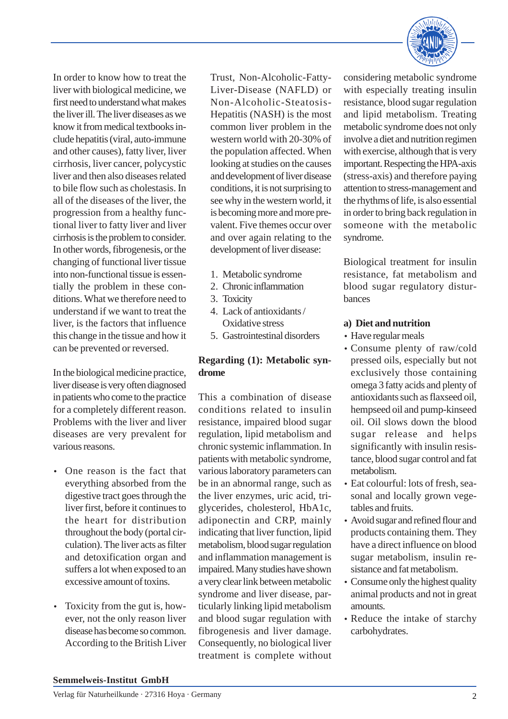In order to know how to treat the liver with biological medicine, we first need to understand what makes the liver ill. The liver diseases as we know it from medical textbooks include hepatitis (viral, auto-immune and other causes), fatty liver, liver cirrhosis, liver cancer, polycystic liver and then also diseases related to bile flow such as cholestasis. In all of the diseases of the liver, the progression from a healthy functional liver to fatty liver and liver cirrhosis is the problem to consider. In other words, fibrogenesis, or the changing of functional liver tissue into non-functional tissue is essentially the problem in these conditions. What we therefore need to understand if we want to treat the liver, is the factors that influence this change in the tissue and how it can be prevented or reversed.

In the biological medicine practice, liver disease is very often diagnosed in patients who come to the practice for a completely different reason. Problems with the liver and liver diseases are very prevalent for various reasons.

- One reason is the fact that everything absorbed from the digestive tract goes through the liver first, before it continues to the heart for distribution throughout the body (portal circulation). The liver acts as filter and detoxification organ and suffers a lot when exposed to an excessive amount of toxins.
- Toxicity from the gut is, however, not the only reason liver disease has become so common. According to the British Liver

Trust, Non-Alcoholic-Fatty-Liver-Disease (NAFLD) or Non-Alcoholic-Steatosis-Hepatitis (NASH) is the most common liver problem in the western world with 20-30% of the population affected. When looking at studies on the causes and development of liver disease conditions, it is not surprising to see why in the western world, it is becoming more and more prevalent. Five themes occur over and over again relating to the development of liver disease:

- 1. Metabolic syndrome
- 2. Chronic inflammation
- 3. Toxicity
- 4. Lack of antioxidants / Oxidative stress
- 5. Gastrointestinal disorders

# **Regarding (1): Metabolic syndrome**

This a combination of disease conditions related to insulin resistance, impaired blood sugar regulation, lipid metabolism and chronic systemic inflammation. In patients with metabolic syndrome, various laboratory parameters can be in an abnormal range, such as the liver enzymes, uric acid, triglycerides, cholesterol, HbA1c, adiponectin and CRP, mainly indicating that liver function, lipid metabolism, blood sugar regulation and inflammation management is impaired. Many studies have shown a very clear link between metabolic syndrome and liver disease, particularly linking lipid metabolism and blood sugar regulation with fibrogenesis and liver damage. Consequently, no biological liver treatment is complete without

considering metabolic syndrome with especially treating insulin resistance, blood sugar regulation and lipid metabolism. Treating metabolic syndrome does not only involve a diet and nutrition regimen with exercise, although that is very important. Respecting the HPA-axis (stress-axis) and therefore paying attention to stress-management and the rhythms of life, is also essential in order to bring back regulation in someone with the metabolic syndrome.

Biological treatment for insulin resistance, fat metabolism and blood sugar regulatory disturbances

## **a) Diet and nutrition**

- Have regular meals
- Consume plenty of raw/cold pressed oils, especially but not exclusively those containing omega 3 fatty acids and plenty of antioxidants such as flaxseed oil, hempseed oil and pump-kinseed oil. Oil slows down the blood sugar release and helps significantly with insulin resistance, blood sugar control and fat metabolism.
- Eat colourful: lots of fresh, seasonal and locally grown vegetables and fruits.
- Avoid sugar and refined flour and products containing them. They have a direct influence on blood sugar metabolism, insulin resistance and fat metabolism.
- Consume only the highest quality animal products and not in great amounts.
- Reduce the intake of starchy carbohydrates.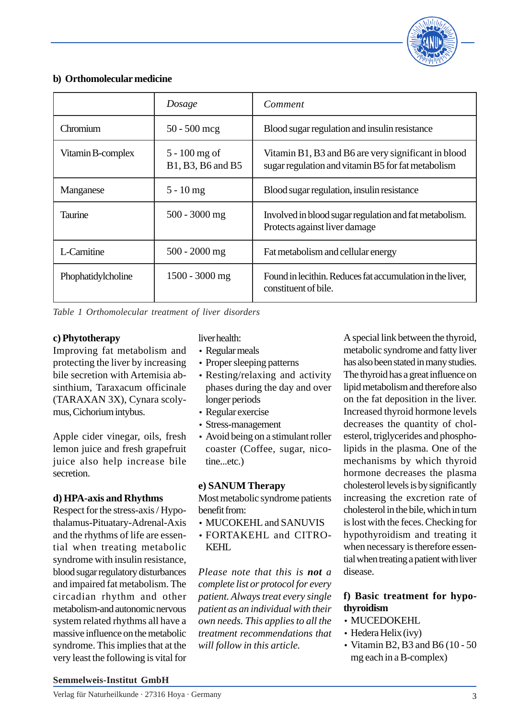

## **b) Orthomolecular medicine**

|                    | Dosage                               | Comment                                                                                                   |
|--------------------|--------------------------------------|-----------------------------------------------------------------------------------------------------------|
| Chromium           | $50 - 500$ mcg                       | Blood sugar regulation and insulin resistance                                                             |
| Vitamin B-complex  | $5 - 100$ mg of<br>B1, B3, B6 and B5 | Vitamin B1, B3 and B6 are very significant in blood<br>sugar regulation and vitamin B5 for fat metabolism |
| Manganese          | $5 - 10$ mg                          | Blood sugar regulation, insulin resistance                                                                |
| Taurine            | 500 - 3000 mg                        | Involved in blood sugar regulation and fat metabolism.<br>Protects against liver damage                   |
| L-Carnitine        | $500 - 2000$ mg                      | Fat metabolism and cellular energy                                                                        |
| Phophatidylcholine | $1500 - 3000$ mg                     | Found in lecithin. Reduces fat accumulation in the liver,<br>constituent of bile.                         |

*Table 1 Orthomolecular treatment of liver disorders*

## **c) Phytotherapy**

Improving fat metabolism and protecting the liver by increasing bile secretion with Artemisia absinthium, Taraxacum officinale (TARAXAN 3X), Cynara scolymus, Cichorium intybus.

Apple cider vinegar, oils, fresh lemon juice and fresh grapefruit juice also help increase bile secretion.

#### **d) HPA-axis and Rhythms**

Respect for the stress-axis / Hypothalamus-Pituatary-Adrenal-Axis and the rhythms of life are essential when treating metabolic syndrome with insulin resistance, blood sugar regulatory disturbances and impaired fat metabolism. The circadian rhythm and other metabolism-and autonomic nervous system related rhythms all have a massive influence on the metabolic syndrome. This implies that at the very least the following is vital for

liver health:

- Regular meals
- Proper sleeping patterns
- Resting/relaxing and activity phases during the day and over longer periods
- Regular exercise
- Stress-management
- Avoid being on a stimulant roller coaster (Coffee, sugar, nicotine...etc.)

#### **e) SANUM Therapy**

Most metabolic syndrome patients benefit from:

- MUCOKEHL and SANUVIS
- FORTAKEHL and CITRO-KEHL

*Please note that this is not a complete list or protocol for every patient. Always treat every single patient as an individual with their own needs. This applies to all the treatment recommendations that will follow in this article.*

A special link between the thyroid, metabolic syndrome and fatty liver has also been stated in many studies. The thyroid has a great influence on lipid metabolism and therefore also on the fat deposition in the liver. Increased thyroid hormone levels decreases the quantity of cholesterol, triglycerides and phospholipids in the plasma. One of the mechanisms by which thyroid hormone decreases the plasma cholesterol levels is by significantly increasing the excretion rate of cholesterol in the bile, which in turn is lost with the feces. Checking for hypothyroidism and treating it when necessary is therefore essential when treating a patient with liver disease.

# **f) Basic treatment for hypothyroidism**

- MUCEDOKEHL
- Hedera Helix (ivy)
- Vitamin B2, B3 and B6 (10 50 mg each in a B-complex)

#### **Semmelweis-Institut GmbH**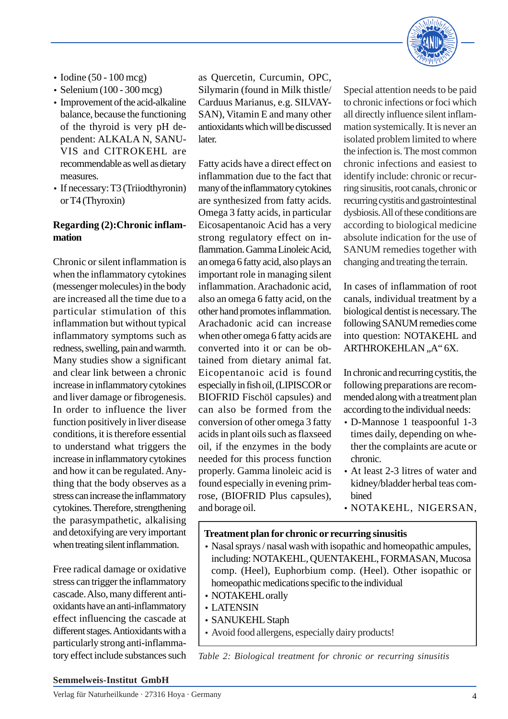

- Iodine (50 100 mcg)
- Selenium (100 300 mcg)
- Improvement of the acid-alkaline balance, because the functioning of the thyroid is very pH dependent: ALKALA N, SANU-VIS and CITROKEHL are recommendable as well as dietary measures.
- If necessary: T3 (Triiodthyronin) or T4 (Thyroxin)

## **Regarding (2):Chronic inflammation**

Chronic or silent inflammation is when the inflammatory cytokines (messenger molecules) in the body are increased all the time due to a particular stimulation of this inflammation but without typical inflammatory symptoms such as redness, swelling, pain and warmth. Many studies show a significant and clear link between a chronic increase in inflammatory cytokines and liver damage or fibrogenesis. In order to influence the liver function positively in liver disease conditions, it is therefore essential to understand what triggers the increase in inflammatory cytokines and how it can be regulated. Anything that the body observes as a stress can increase the inflammatory cytokines. Therefore, strengthening the parasympathetic, alkalising and detoxifying are very important when treating silent inflammation.

Free radical damage or oxidative stress can trigger the inflammatory cascade. Also, many different antioxidants have an anti-inflammatory effect influencing the cascade at different stages. Antioxidants with a particularly strong anti-inflammatory effect include substances such

as Quercetin, Curcumin, OPC, Silymarin (found in Milk thistle/ Carduus Marianus, e.g. SILVAY-SAN), Vitamin E and many other antioxidants which will be discussed later.

Fatty acids have a direct effect on inflammation due to the fact that many of the inflammatory cytokines are synthesized from fatty acids. Omega 3 fatty acids, in particular Eicosapentanoic Acid has a very strong regulatory effect on inflammation. Gamma Linoleic Acid, an omega 6 fatty acid, also plays an important role in managing silent inflammation. Arachadonic acid, also an omega 6 fatty acid, on the other hand promotes inflammation. Arachadonic acid can increase when other omega 6 fatty acids are converted into it or can be obtained from dietary animal fat. Eicopentanoic acid is found especially in fish oil, (LIPISCOR or BIOFRID Fischöl capsules) and can also be formed from the conversion of other omega 3 fatty acids in plant oils such as flaxseed oil, if the enzymes in the body needed for this process function properly. Gamma linoleic acid is found especially in evening primrose, (BIOFRID Plus capsules), and borage oil.

Special attention needs to be paid to chronic infections or foci which all directly influence silent inflammation systemically. It is never an isolated problem limited to where the infection is. The most common chronic infections and easiest to identify include: chronic or recurring sinusitis, root canals, chronic or recurring cystitis and gastrointestinal dysbiosis. All of these conditions are according to biological medicine absolute indication for the use of SANUM remedies together with changing and treating the terrain.

In cases of inflammation of root canals, individual treatment by a biological dentist is necessary. The following SANUM remedies come into question: NOTAKEHL and ARTHROKEHLAN,,A" 6X.

In chronic and recurring cystitis, the following preparations are recommended along with a treatment plan according to the individual needs:

- D-Mannose 1 teaspoonful 1-3 times daily, depending on whether the complaints are acute or chronic.
- At least 2-3 litres of water and kidney/bladder herbal teas combined
- NOTAKEHL, NIGERSAN,

#### **Treatment plan for chronic or recurring sinusitis**

- Nasal sprays / nasal wash with isopathic and homeopathic ampules, including: NOTAKEHL, QUENTAKEHL, FORMASAN, Mucosa comp. (Heel), Euphorbium comp. (Heel). Other isopathic or homeopathic medications specific to the individual
- NOTAKEHL orally
- LATENSIN
- SANUKEHL Staph
- Avoid food allergens, especially dairy products!

*Table 2: Biological treatment for chronic or recurring sinusitis*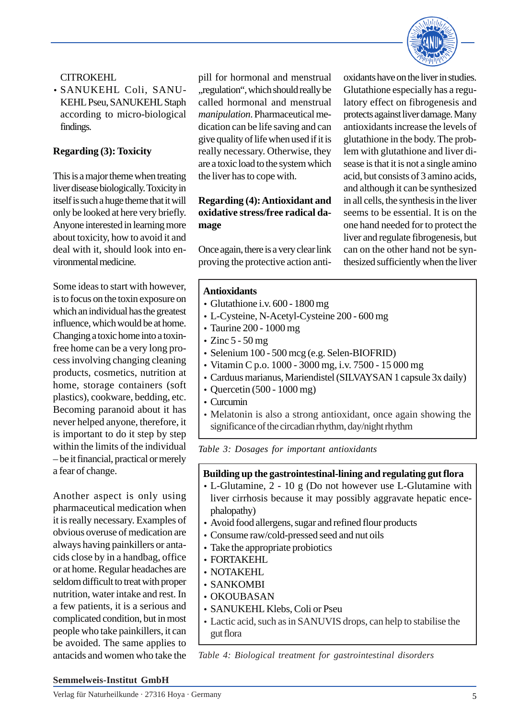

## CITROKEHL

• SANUKEHL Coli, SANU-KEHL Pseu, SANUKEHL Staph according to micro-biological findings.

## **Regarding (3): Toxicity**

This is a major theme when treating liver disease biologically. Toxicity in itself is such a huge theme that it will only be looked at here very briefly. Anyone interested in learning more about toxicity, how to avoid it and deal with it, should look into environmental medicine.

Some ideas to start with however, is to focus on the toxin exposure on which an individual has the greatest influence, which would be at home. Changing a toxic home into a toxinfree home can be a very long process involving changing cleaning products, cosmetics, nutrition at home, storage containers (soft plastics), cookware, bedding, etc. Becoming paranoid about it has never helped anyone, therefore, it is important to do it step by step within the limits of the individual – be it financial, practical or merely a fear of change.

Another aspect is only using pharmaceutical medication when it is really necessary. Examples of obvious overuse of medication are always having painkillers or antacids close by in a handbag, office or at home. Regular headaches are seldom difficult to treat with proper nutrition, water intake and rest. In a few patients, it is a serious and complicated condition, but in most people who take painkillers, it can be avoided. The same applies to antacids and women who take the

pill for hormonal and menstrual , regulation", which should really be called hormonal and menstrual *manipulation*. Pharmaceutical medication can be life saving and can give quality of life when used if it is really necessary. Otherwise, they are a toxic load to the system which the liver has to cope with.

# **Regarding (4): Antioxidant and oxidative stress/free radical damage**

Once again, there is a very clear link proving the protective action antioxidants have on the liver in studies. Glutathione especially has a regulatory effect on fibrogenesis and protects against liver damage. Many antioxidants increase the levels of glutathione in the body. The problem with glutathione and liver disease is that it is not a single amino acid, but consists of 3 amino acids, and although it can be synthesized in all cells, the synthesis in the liver seems to be essential. It is on the one hand needed for to protect the liver and regulate fibrogenesis, but can on the other hand not be synthesized sufficiently when the liver

#### **Antioxidants**

- Glutathione i.v. 600 1800 mg
- L-Cysteine, N-Acetyl-Cysteine 200 600 mg
- Taurine 200 1000 mg
- $\cdot$  Zinc 5 50 mg
- Selenium 100 500 mcg (e.g. Selen-BIOFRID)
- Vitamin C p.o. 1000 3000 mg, i.v. 7500 15 000 mg
- Carduus marianus, Mariendistel (SILVAYSAN 1 capsule 3x daily)
- Quercetin (500 1000 mg)
- Curcumin
- Melatonin is also a strong antioxidant, once again showing the significance of the circadian rhythm, day/night rhythm

*Table 3: Dosages for important antioxidants*

## **Building up the gastrointestinal-lining and regulating gut flora**

- L-Glutamine, 2 10 g (Do not however use L-Glutamine with liver cirrhosis because it may possibly aggravate hepatic encephalopathy)
- Avoid food allergens, sugar and refined flour products
- Consume raw/cold-pressed seed and nut oils
- Take the appropriate probiotics
- FORTAKEHL
- NOTAKEHL
- SANKOMBI
- OKOUBASAN
- SANUKEHL Klebs, Coli or Pseu
- Lactic acid, such as in SANUVIS drops, can help to stabilise the gut flora

*Table 4: Biological treatment for gastrointestinal disorders*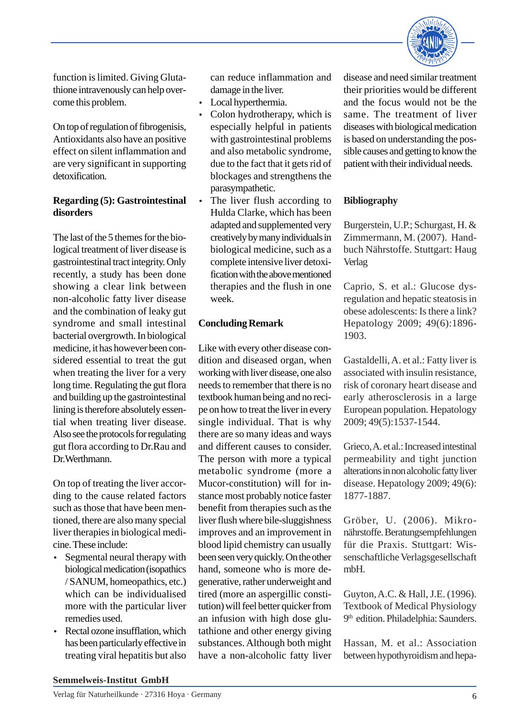

function is limited. Giving Glutathione intravenously can help overcome this problem.

On top of regulation of fibrogenisis, Antioxidants also have an positive effect on silent inflammation and are very significant in supporting detoxification.

## **Regarding (5): Gastrointestinal disorders**

The last of the 5 themes for the biological treatment of liver disease is gastrointestinal tractintegrity. Only recently, a study has been done showing a clear link between non-alcoholic fatty liver disease and the combination of leaky gut syndrome and small intestinal bacterial overgrowth. In biological medicine, it has however been considered essential to treat the gut when treating the liver for a very long time. Regulating the gut flora and building up the gastrointestinal lining is therefore absolutely essential when treating liver disease. Also see the protocols for regulating gut flora according to Dr.Rau and Dr.Werthmann.

On top of treating the liver according to the cause related factors such as those that have been mentioned, there are also many special liver therapies in biological medicine. These include:

- Segmental neural therapy with biological medication (isopathics / SANUM, homeopathics, etc.) which can be individualised more with the particular liver remedies used.
- Rectal ozone insufflation, which has been particularly effective in treating viral hepatitis but also

can reduce inflammation and damage in the liver.

- Local hyperthermia.
- Colon hydrotherapy, which is especially helpful in patients with gastrointestinal problems and also metabolic syndrome, due to the fact that it gets rid of blockages and strengthens the parasympathetic.
- The liver flush according to Hulda Clarke, which has been adapted and supplemented very creatively by many individuals in biological medicine, such as a complete intensive liver detoxification with the above mentioned therapies and the flush in one week.

# **Concluding Remark**

Like with every other disease condition and diseased organ, when working with liver disease, one also needs to remember that there is no textbook human being and no recipe on how to treat the liver in every single individual. That is why there are so many ideas and ways and different causes to consider. The person with more a typical metabolic syndrome (more a Mucor-constitution) will for instance most probably notice faster benefit from therapies such as the liver flush where bile-sluggishness improves and an improvement in blood lipid chemistry can usually been seen very quickly. On the other hand, someone who is more degenerative, rather underweight and tired (more an aspergillic constitution) will feel better quicker from an infusion with high dose glutathione and other energy giving substances. Although both might have a non-alcoholic fatty liver

disease and need similar treatment their priorities would be different and the focus would not be the same. The treatment of liver diseases with biological medication is based on understanding the possible causes and getting to know the patient with their individual needs.

# **Bibliography**

Burgerstein, U.P.; Schurgast, H. & Zimmermann, M. (2007). Handbuch Nährstoffe. Stuttgart: Haug Verlag

Caprio, S. et al.: Glucose dysregulation and hepatic steatosis in obese adolescents: Is there a link? Hepatology 2009; 49(6):1896- 1903.

Gastaldelli, A. et al.: Fatty liver is associated with insulin resistance, risk of coronary heart disease and early atherosclerosis in a large European population. Hepatology 2009; 49(5):1537-1544.

Grieco, A. et al.: Increased intestinal permeability and tight junction alterations in non alcoholic fatty liver disease. Hepatology 2009; 49(6): 1877-1887.

Gröber, U. (2006). Mikronährstoffe. Beratungsempfehlungen für die Praxis. Stuttgart: Wissenschaftliche Verlagsgesellschaft mbH.

Guyton, A.C. & Hall, J.E. (1996). Textbook of Medical Physiology 9<sup>th</sup> edition. Philadelphia: Saunders.

Hassan, M. et al.: Association between hypothyroidism and hepa-